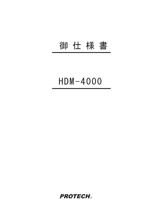## 御 仕 様 書

# $HDM - 4000$

**PROTECH®**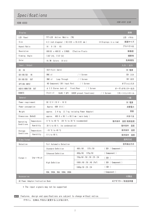### Specifications

#### HDM-4000 HDM-4000 仕様

| 画像<br>Display                                      |             |                                                 |                                    |                       |             |         |
|----------------------------------------------------|-------------|-------------------------------------------------|------------------------------------|-----------------------|-------------|---------|
| LCD Panel                                          |             | TFT-LCD Active Matrix (TN)                      |                                    |                       | LCD パネル     |         |
| Size                                               |             | 4.3 inch diagonal (93.0(H) x 55.8(V) mm)        |                                    | (4 Displays in a row) | 画面サイズ       |         |
| Aspect Ratio                                       |             | 16:9(16:10)                                     |                                    | アスペクト比                |             |         |
| Resolution                                         |             | 800 (H) x 480 (V) x 3 (RGB). E?ective Pixels    |                                    |                       | 解像度         |         |
| Viewing Angle                                      |             | 130° (H), $110^{\circ}$ (V)                     |                                    | 視野角                   |             |         |
| Color                                              |             | 16.7M Colors (8 bit)                            |                                    | 色再現性                  |             |         |
| Input / Output                                     |             |                                                 |                                    |                       |             | 入力 / 出力 |
| DC IN                                              |             | XLR 4-pin (male)                                |                                    | DC 電源                 |             |         |
| SDI(HD/SD)<br>IN.                                  |             | BNC x1<br>/ 1 Screen                            |                                    | SDI 入力                |             |         |
| SDI (HD/SD)<br>0UT                                 |             | / 1 Screen<br>BNC x1<br>Loop Through            |                                    |                       | SDI 出力      |         |
| OPTION INPUT                                       |             | HD Component/ DVI Input Port                    | / 1 Screen                         |                       | オプション入力     |         |
| AUDIO MONITOR OUT                                  |             | $\phi$ 3.5 Stereo Jack x2                       | Front/Rear<br>$/ 1$ Screen         |                       | オーディオモニター出力 |         |
| REMOTE                                             |             | 8-pin x1                                        | RJ45 7 GPI (USER preset functions) | / 1 Screen            | リモートコントロール  |         |
| General<br>一般                                      |             |                                                 |                                    |                       |             |         |
| Power requirement                                  |             | DC 12 V $(10 V - 16 V)$                         |                                    | DC 電源                 |             |         |
| Power consumption                                  |             | Approx. $48W$ $(4 A)$                           |                                    |                       |             | 消費電力    |
| Weight                                             |             | approx. 2.4 kg (2.7 kg including Power Adaptor) |                                    |                       |             | 重量      |
| Dimensions (WxHxD)                                 |             | approx. 480.8 x 88.1 x 60.5 mm (main body)      |                                    |                       | 外形寸法        |         |
| Operating<br>Conditions                            | Temperature | 0 °C to 40 °C (20 °C to 30 °C recommended)      |                                    | 動作条件                  | 温度(推奨温度)    |         |
|                                                    | Humiditty   | 30 % to 85 % (no condensation)                  |                                    |                       | 動作条件        | 湿度      |
| Storage<br>Conditions                              | Temperature | $-10$ °C to 40 °C                               |                                    | 保存条件 温度               |             |         |
|                                                    | Humiditty   | 0 % to 90 %                                     |                                    |                       | 保存条件 湿度     |         |
| Video Format                                       |             |                                                 |                                    |                       | 信号方式        |         |
| Detection                                          |             | Full Automatic Detection                        |                                    | 信号検出方式                |             |         |
|                                                    | フォーマット      | Standard Definition                             | 480i/60, 575i/50                   | (SDI / Component )    |             |         |
| Format *                                           |             | Enhanced Definition                             | $480p/60$ .<br>575p/50             | (Component)           |             |         |
|                                                    |             | High Definition                                 | 720p/60 /50 /30 /25 /24            | (SDI)                 |             |         |
|                                                    |             |                                                 | $1080i/60 /50 /48$ (PsF)           | (SDI / Component)     |             |         |
|                                                    |             |                                                 | 1080p/30 /25 /24                   | (SDI)                 |             |         |
|                                                    |             | VGA, SVGA, XGA, SXGA, UXGA                      |                                    | (Component)           |             |         |
| 付属品<br>Accessories                                 |             |                                                 |                                    |                       |             |         |
| AC Power Adaptor/Instruction Book<br>ACアダプター/取扱説明書 |             |                                                 |                                    |                       |             |         |

\* The input signals may not be supported.

NOTE Features, design and specifications are subject to change without notice.

デザイン, 仕様は、予告なく変更することがあります。